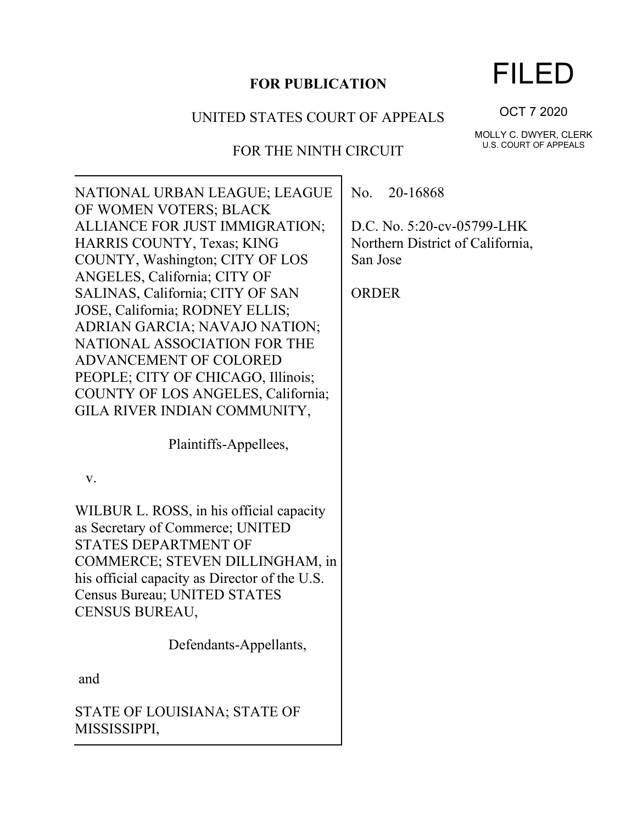# **FOR PUBLICATION**

## UNITED STATES COURT OF APPEALS

# FOR THE NINTH CIRCUIT

NATIONAL URBAN LEAGUE; LEAGUE OF WOMEN VOTERS; BLACK ALLIANCE FOR JUST IMMIGRATION; HARRIS COUNTY, Texas; KING COUNTY, Washington; CITY OF LOS ANGELES, California; CITY OF SALINAS, California; CITY OF SAN JOSE, California; RODNEY ELLIS; ADRIAN GARCIA; NAVAJO NATION; NATIONAL ASSOCIATION FOR THE ADVANCEMENT OF COLORED PEOPLE; CITY OF CHICAGO, Illinois; COUNTY OF LOS ANGELES, California; GILA RIVER INDIAN COMMUNITY,

Plaintiffs-Appellees,

v.

WILBUR L. ROSS, in his official capacity as Secretary of Commerce; UNITED STATES DEPARTMENT OF COMMERCE; STEVEN DILLINGHAM, in his official capacity as Director of the U.S. Census Bureau; UNITED STATES CENSUS BUREAU,

Defendants-Appellants,

and

STATE OF LOUISIANA; STATE OF MISSISSIPPI,

No. 20-16868

D.C. No. 5:20-cv-05799-LHK Northern District of California, San Jose

ORDER

OCT 7 2020

MOLLY C. DWYER, CLERK U.S. COURT OF APPEALS

# FILED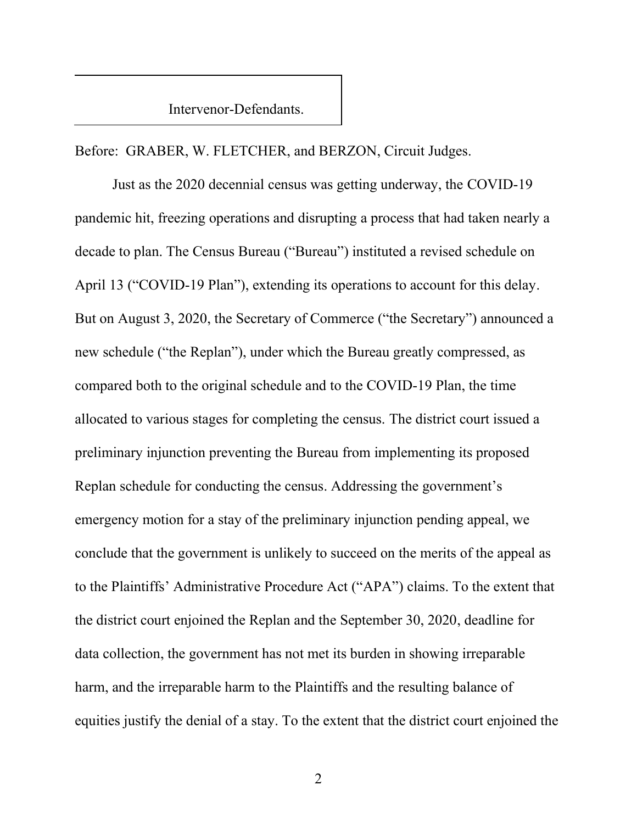Intervenor-Defendants.

Before: GRABER, W. FLETCHER, and BERZON, Circuit Judges.

Just as the 2020 decennial census was getting underway, the COVID-19 pandemic hit, freezing operations and disrupting a process that had taken nearly a decade to plan. The Census Bureau ("Bureau") instituted a revised schedule on April 13 ("COVID-19 Plan"), extending its operations to account for this delay. But on August 3, 2020, the Secretary of Commerce ("the Secretary") announced a new schedule ("the Replan"), under which the Bureau greatly compressed, as compared both to the original schedule and to the COVID-19 Plan, the time allocated to various stages for completing the census. The district court issued a preliminary injunction preventing the Bureau from implementing its proposed Replan schedule for conducting the census. Addressing the government's emergency motion for a stay of the preliminary injunction pending appeal, we conclude that the government is unlikely to succeed on the merits of the appeal as to the Plaintiffs' Administrative Procedure Act ("APA") claims. To the extent that the district court enjoined the Replan and the September 30, 2020, deadline for data collection, the government has not met its burden in showing irreparable harm, and the irreparable harm to the Plaintiffs and the resulting balance of equities justify the denial of a stay. To the extent that the district court enjoined the

2 a set of  $\sim$  2 a set of  $\sim$  2 a set of  $\sim$  2 a set of  $\sim$  3 a set of  $\sim$  3 a set of  $\sim$  3 a set of  $\sim$  3 a set of  $\sim$  3 a set of  $\sim$  3 a set of  $\sim$  3 a set of  $\sim$  3 a set of  $\sim$  3 a set of  $\sim$  3 a set of  $\sim$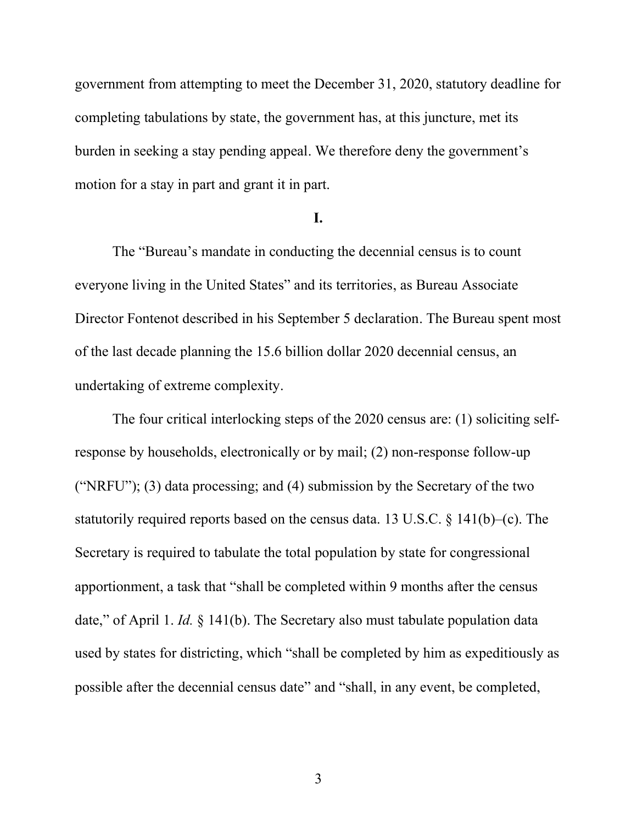government from attempting to meet the December 31, 2020, statutory deadline for completing tabulations by state, the government has, at this juncture, met its burden in seeking a stay pending appeal. We therefore deny the government's motion for a stay in part and grant it in part.

#### **I.**

The "Bureau's mandate in conducting the decennial census is to count everyone living in the United States" and its territories, as Bureau Associate Director Fontenot described in his September 5 declaration. The Bureau spent most of the last decade planning the 15.6 billion dollar 2020 decennial census, an undertaking of extreme complexity.

The four critical interlocking steps of the 2020 census are: (1) soliciting selfresponse by households, electronically or by mail; (2) non-response follow-up ("NRFU"); (3) data processing; and (4) submission by the Secretary of the two statutorily required reports based on the census data. 13 U.S.C. § 141(b)–(c). The Secretary is required to tabulate the total population by state for congressional apportionment, a task that "shall be completed within 9 months after the census date," of April 1. *Id.* § 141(b). The Secretary also must tabulate population data used by states for districting, which "shall be completed by him as expeditiously as possible after the decennial census date" and "shall, in any event, be completed,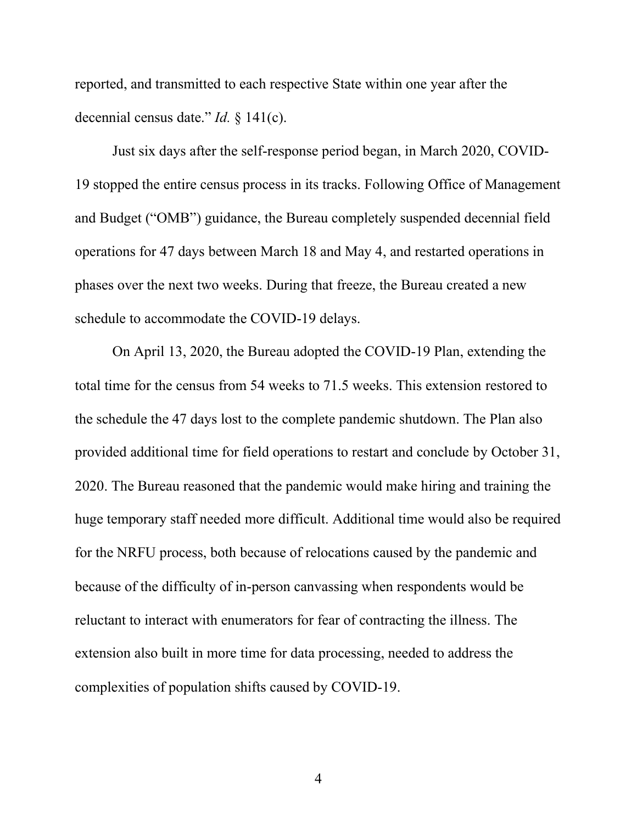reported, and transmitted to each respective State within one year after the decennial census date." *Id.* § 141(c).

Just six days after the self-response period began, in March 2020, COVID-19 stopped the entire census process in its tracks. Following Office of Management and Budget ("OMB") guidance, the Bureau completely suspended decennial field operations for 47 days between March 18 and May 4, and restarted operations in phases over the next two weeks. During that freeze, the Bureau created a new schedule to accommodate the COVID-19 delays.

On April 13, 2020, the Bureau adopted the COVID-19 Plan, extending the total time for the census from 54 weeks to 71.5 weeks. This extension restored to the schedule the 47 days lost to the complete pandemic shutdown. The Plan also provided additional time for field operations to restart and conclude by October 31, 2020. The Bureau reasoned that the pandemic would make hiring and training the huge temporary staff needed more difficult. Additional time would also be required for the NRFU process, both because of relocations caused by the pandemic and because of the difficulty of in-person canvassing when respondents would be reluctant to interact with enumerators for fear of contracting the illness. The extension also built in more time for data processing, needed to address the complexities of population shifts caused by COVID-19.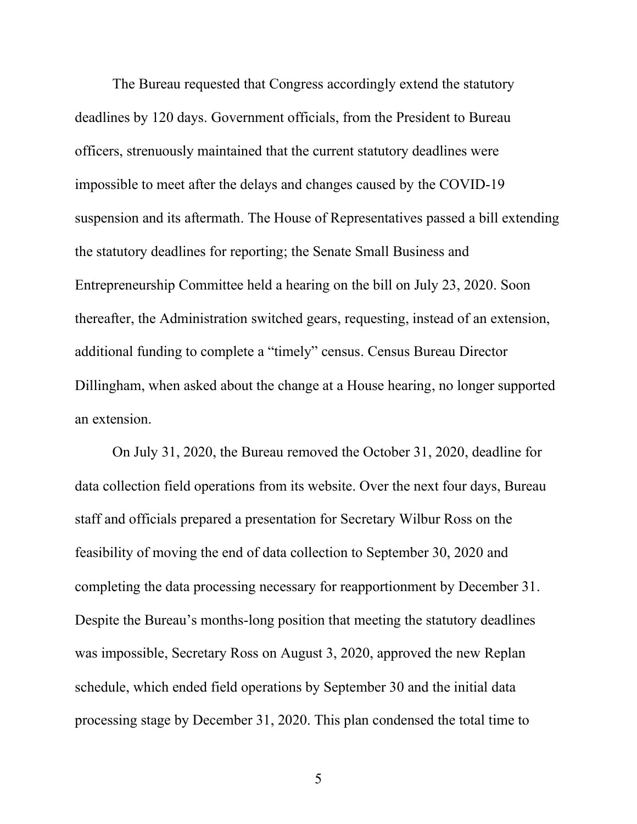The Bureau requested that Congress accordingly extend the statutory deadlines by 120 days. Government officials, from the President to Bureau officers, strenuously maintained that the current statutory deadlines were impossible to meet after the delays and changes caused by the COVID-19 suspension and its aftermath. The House of Representatives passed a bill extending the statutory deadlines for reporting; the Senate Small Business and Entrepreneurship Committee held a hearing on the bill on July 23, 2020. Soon thereafter, the Administration switched gears, requesting, instead of an extension, additional funding to complete a "timely" census. Census Bureau Director Dillingham, when asked about the change at a House hearing, no longer supported an extension.

On July 31, 2020, the Bureau removed the October 31, 2020, deadline for data collection field operations from its website. Over the next four days, Bureau staff and officials prepared a presentation for Secretary Wilbur Ross on the feasibility of moving the end of data collection to September 30, 2020 and completing the data processing necessary for reapportionment by December 31. Despite the Bureau's months-long position that meeting the statutory deadlines was impossible, Secretary Ross on August 3, 2020, approved the new Replan schedule, which ended field operations by September 30 and the initial data processing stage by December 31, 2020. This plan condensed the total time to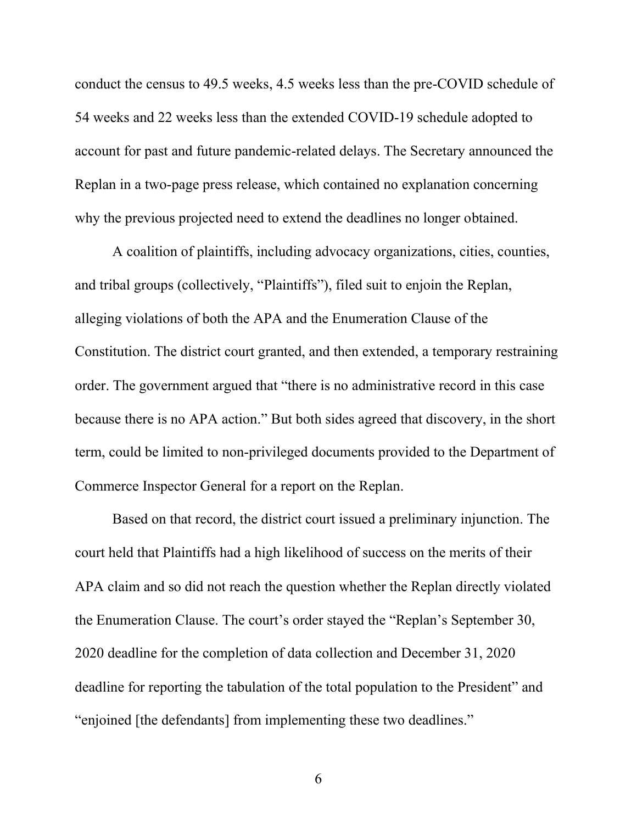conduct the census to 49.5 weeks, 4.5 weeks less than the pre-COVID schedule of 54 weeks and 22 weeks less than the extended COVID-19 schedule adopted to account for past and future pandemic-related delays. The Secretary announced the Replan in a two-page press release, which contained no explanation concerning why the previous projected need to extend the deadlines no longer obtained.

A coalition of plaintiffs, including advocacy organizations, cities, counties, and tribal groups (collectively, "Plaintiffs"), filed suit to enjoin the Replan, alleging violations of both the APA and the Enumeration Clause of the Constitution. The district court granted, and then extended, a temporary restraining order. The government argued that "there is no administrative record in this case because there is no APA action." But both sides agreed that discovery, in the short term, could be limited to non-privileged documents provided to the Department of Commerce Inspector General for a report on the Replan.

Based on that record, the district court issued a preliminary injunction. The court held that Plaintiffs had a high likelihood of success on the merits of their APA claim and so did not reach the question whether the Replan directly violated the Enumeration Clause. The court's order stayed the "Replan's September 30, 2020 deadline for the completion of data collection and December 31, 2020 deadline for reporting the tabulation of the total population to the President" and "enjoined [the defendants] from implementing these two deadlines."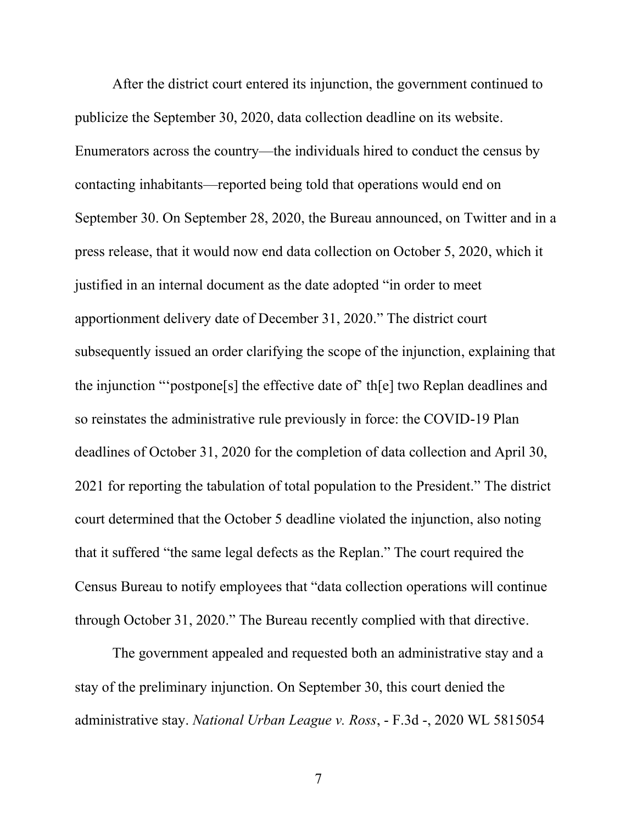After the district court entered its injunction, the government continued to publicize the September 30, 2020, data collection deadline on its website. Enumerators across the country—the individuals hired to conduct the census by contacting inhabitants—reported being told that operations would end on September 30. On September 28, 2020, the Bureau announced, on Twitter and in a press release, that it would now end data collection on October 5, 2020, which it justified in an internal document as the date adopted "in order to meet apportionment delivery date of December 31, 2020." The district court subsequently issued an order clarifying the scope of the injunction, explaining that the injunction "'postpone[s] the effective date of' th[e] two Replan deadlines and so reinstates the administrative rule previously in force: the COVID-19 Plan deadlines of October 31, 2020 for the completion of data collection and April 30, 2021 for reporting the tabulation of total population to the President." The district court determined that the October 5 deadline violated the injunction, also noting that it suffered "the same legal defects as the Replan." The court required the Census Bureau to notify employees that "data collection operations will continue through October 31, 2020." The Bureau recently complied with that directive.

The government appealed and requested both an administrative stay and a stay of the preliminary injunction. On September 30, this court denied the administrative stay. *National Urban League v. Ross*, - F.3d -, 2020 WL 5815054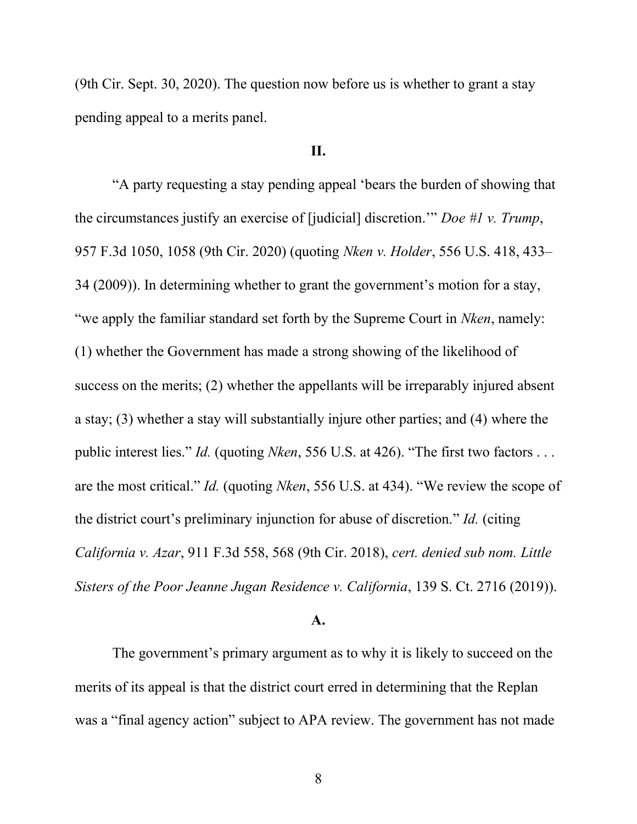(9th Cir. Sept. 30, 2020). The question now before us is whether to grant a stay pending appeal to a merits panel.

## **II.**

"A party requesting a stay pending appeal 'bears the burden of showing that the circumstances justify an exercise of [judicial] discretion.'" *Doe #1 v. Trump*, 957 F.3d 1050, 1058 (9th Cir. 2020) (quoting *Nken v. Holder*, 556 U.S. 418, 433– 34 (2009)). In determining whether to grant the government's motion for a stay, "we apply the familiar standard set forth by the Supreme Court in *Nken*, namely: (1) whether the Government has made a strong showing of the likelihood of success on the merits; (2) whether the appellants will be irreparably injured absent a stay; (3) whether a stay will substantially injure other parties; and (4) where the public interest lies." *Id.* (quoting *Nken*, 556 U.S. at 426). "The first two factors . . . are the most critical." *Id.* (quoting *Nken*, 556 U.S. at 434). "We review the scope of the district court's preliminary injunction for abuse of discretion." *Id.* (citing *California v. Azar*, 911 F.3d 558, 568 (9th Cir. 2018), *cert. denied sub nom. Little Sisters of the Poor Jeanne Jugan Residence v. California*, 139 S. Ct. 2716 (2019)).

#### **A.**

The government's primary argument as to why it is likely to succeed on the merits of its appeal is that the district court erred in determining that the Replan was a "final agency action" subject to APA review. The government has not made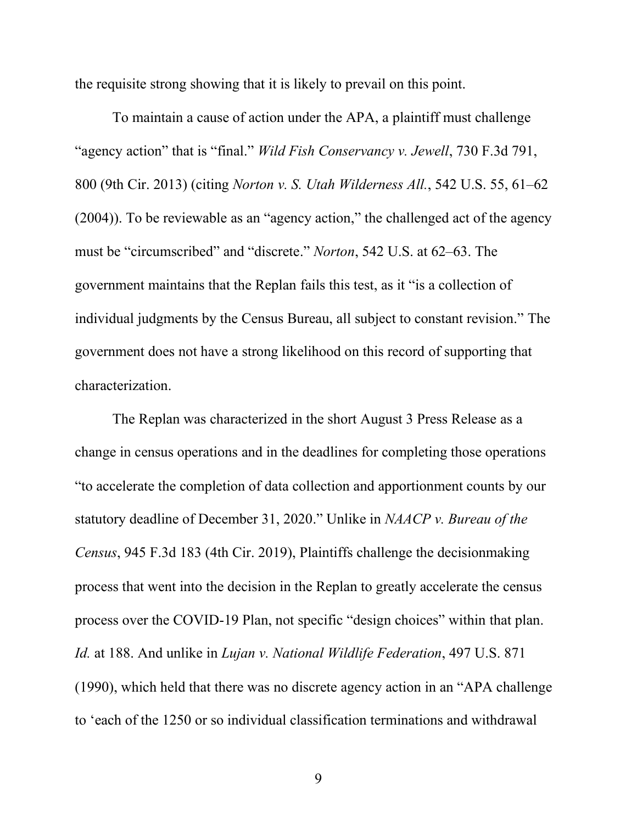the requisite strong showing that it is likely to prevail on this point.

To maintain a cause of action under the APA, a plaintiff must challenge "agency action" that is "final." *Wild Fish Conservancy v. Jewell*, 730 F.3d 791, 800 (9th Cir. 2013) (citing *Norton v. S. Utah Wilderness All.*, 542 U.S. 55, 61–62 (2004)). To be reviewable as an "agency action," the challenged act of the agency must be "circumscribed" and "discrete." *Norton*, 542 U.S. at 62–63. The government maintains that the Replan fails this test, as it "is a collection of individual judgments by the Census Bureau, all subject to constant revision." The government does not have a strong likelihood on this record of supporting that characterization.

The Replan was characterized in the short August 3 Press Release as a change in census operations and in the deadlines for completing those operations "to accelerate the completion of data collection and apportionment counts by our statutory deadline of December 31, 2020." Unlike in *NAACP v. Bureau of the Census*, 945 F.3d 183 (4th Cir. 2019), Plaintiffs challenge the decisionmaking process that went into the decision in the Replan to greatly accelerate the census process over the COVID-19 Plan, not specific "design choices" within that plan. *Id.* at 188. And unlike in *Lujan v. National Wildlife Federation*, 497 U.S. 871 (1990), which held that there was no discrete agency action in an "APA challenge to 'each of the 1250 or so individual classification terminations and withdrawal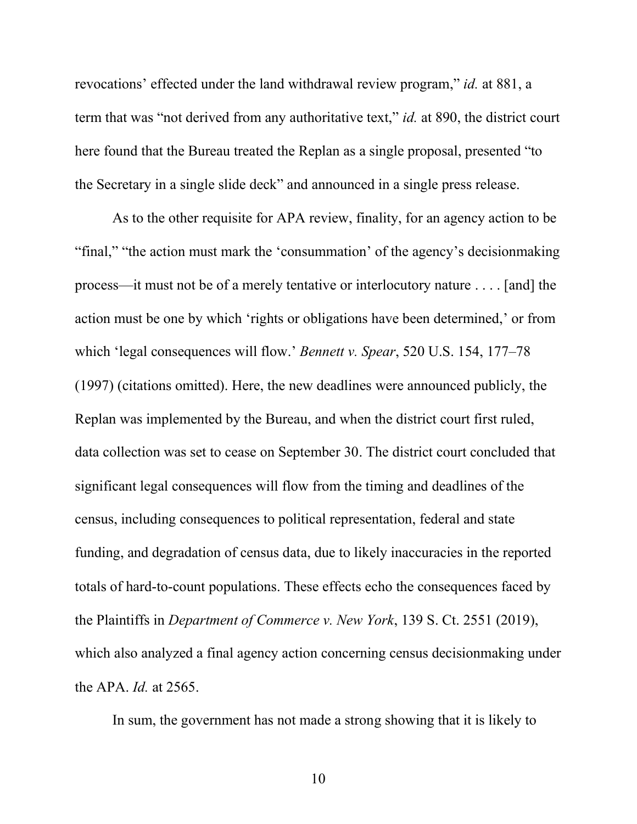revocations' effected under the land withdrawal review program," *id.* at 881, a term that was "not derived from any authoritative text," *id.* at 890, the district court here found that the Bureau treated the Replan as a single proposal, presented "to the Secretary in a single slide deck" and announced in a single press release.

As to the other requisite for APA review, finality, for an agency action to be "final," "the action must mark the 'consummation' of the agency's decisionmaking process—it must not be of a merely tentative or interlocutory nature . . . . [and] the action must be one by which 'rights or obligations have been determined,' or from which 'legal consequences will flow.' *Bennett v. Spear*, 520 U.S. 154, 177–78 (1997) (citations omitted). Here, the new deadlines were announced publicly, the Replan was implemented by the Bureau, and when the district court first ruled, data collection was set to cease on September 30. The district court concluded that significant legal consequences will flow from the timing and deadlines of the census, including consequences to political representation, federal and state funding, and degradation of census data, due to likely inaccuracies in the reported totals of hard-to-count populations. These effects echo the consequences faced by the Plaintiffs in *Department of Commerce v. New York*, 139 S. Ct. 2551 (2019), which also analyzed a final agency action concerning census decisionmaking under the APA. *Id.* at 2565.

In sum, the government has not made a strong showing that it is likely to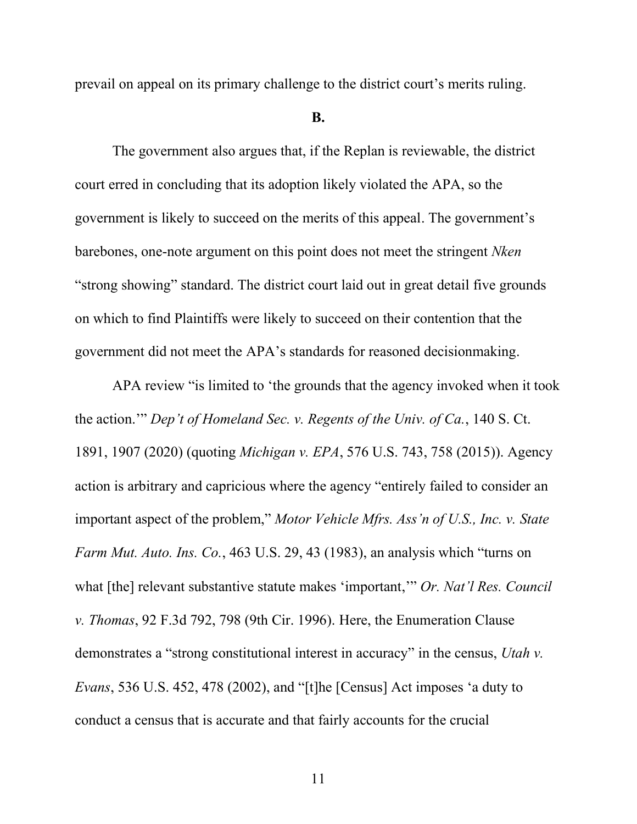prevail on appeal on its primary challenge to the district court's merits ruling.

#### **B.**

The government also argues that, if the Replan is reviewable, the district court erred in concluding that its adoption likely violated the APA, so the government is likely to succeed on the merits of this appeal. The government's barebones, one-note argument on this point does not meet the stringent *Nken* "strong showing" standard. The district court laid out in great detail five grounds on which to find Plaintiffs were likely to succeed on their contention that the government did not meet the APA's standards for reasoned decisionmaking.

APA review "is limited to 'the grounds that the agency invoked when it took the action.'" *Dep't of Homeland Sec. v. Regents of the Univ. of Ca.*, 140 S. Ct. 1891, 1907 (2020) (quoting *Michigan v. EPA*, 576 U.S. 743, 758 (2015)). Agency action is arbitrary and capricious where the agency "entirely failed to consider an important aspect of the problem," *Motor Vehicle Mfrs. Ass'n of U.S., Inc. v. State Farm Mut. Auto. Ins. Co.*, 463 U.S. 29, 43 (1983), an analysis which "turns on what [the] relevant substantive statute makes 'important,'" *Or. Nat'l Res. Council v. Thomas*, 92 F.3d 792, 798 (9th Cir. 1996). Here, the Enumeration Clause demonstrates a "strong constitutional interest in accuracy" in the census, *Utah v. Evans*, 536 U.S. 452, 478 (2002), and "[t]he [Census] Act imposes 'a duty to conduct a census that is accurate and that fairly accounts for the crucial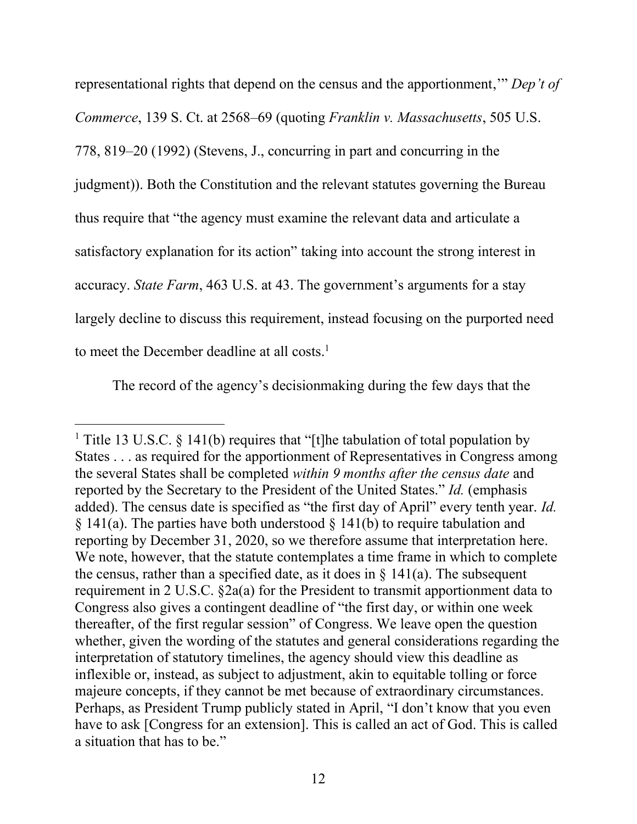representational rights that depend on the census and the apportionment,'" *Dep't of Commerce*, 139 S. Ct. at 2568–69 (quoting *Franklin v. Massachusetts*, 505 U.S. 778, 819–20 (1992) (Stevens, J., concurring in part and concurring in the judgment)). Both the Constitution and the relevant statutes governing the Bureau thus require that "the agency must examine the relevant data and articulate a satisfactory explanation for its action" taking into account the strong interest in accuracy. *State Farm*, 463 U.S. at 43. The government's arguments for a stay largely decline to discuss this requirement, instead focusing on the purported need to meet the December deadline at all costs.<sup>1</sup>

The record of the agency's decisionmaking during the few days that the

<sup>&</sup>lt;sup>1</sup> Title 13 U.S.C. § 141(b) requires that "[t]he tabulation of total population by States . . . as required for the apportionment of Representatives in Congress among the several States shall be completed *within 9 months after the census date* and reported by the Secretary to the President of the United States." *Id.* (emphasis added). The census date is specified as "the first day of April" every tenth year. *Id.*  $\S$  141(a). The parties have both understood  $\S$  141(b) to require tabulation and reporting by December 31, 2020, so we therefore assume that interpretation here. We note, however, that the statute contemplates a time frame in which to complete the census, rather than a specified date, as it does in  $\S$  141(a). The subsequent requirement in 2 U.S.C. §2a(a) for the President to transmit apportionment data to Congress also gives a contingent deadline of "the first day, or within one week thereafter, of the first regular session" of Congress. We leave open the question whether, given the wording of the statutes and general considerations regarding the interpretation of statutory timelines, the agency should view this deadline as inflexible or, instead, as subject to adjustment, akin to equitable tolling or force majeure concepts, if they cannot be met because of extraordinary circumstances. Perhaps, as President Trump publicly stated in April, "I don't know that you even have to ask [Congress for an extension]. This is called an act of God. This is called a situation that has to be."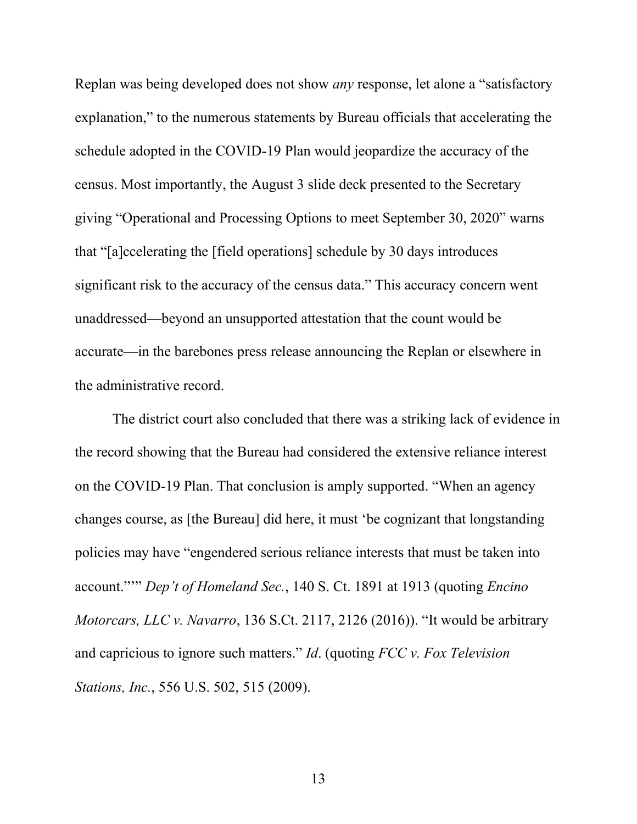Replan was being developed does not show *any* response, let alone a "satisfactory explanation," to the numerous statements by Bureau officials that accelerating the schedule adopted in the COVID-19 Plan would jeopardize the accuracy of the census. Most importantly, the August 3 slide deck presented to the Secretary giving "Operational and Processing Options to meet September 30, 2020" warns that "[a]ccelerating the [field operations] schedule by 30 days introduces significant risk to the accuracy of the census data." This accuracy concern went unaddressed—beyond an unsupported attestation that the count would be accurate—in the barebones press release announcing the Replan or elsewhere in the administrative record.

The district court also concluded that there was a striking lack of evidence in the record showing that the Bureau had considered the extensive reliance interest on the COVID-19 Plan. That conclusion is amply supported. "When an agency changes course, as [the Bureau] did here, it must 'be cognizant that longstanding policies may have "engendered serious reliance interests that must be taken into account."'" *Dep't of Homeland Sec.*, 140 S. Ct. 1891 at 1913 (quoting *Encino Motorcars, LLC v. Navarro*, 136 S.Ct. 2117, 2126 (2016)). "It would be arbitrary and capricious to ignore such matters." *Id*. (quoting *FCC v. Fox Television Stations, Inc.*, 556 U.S. 502, 515 (2009).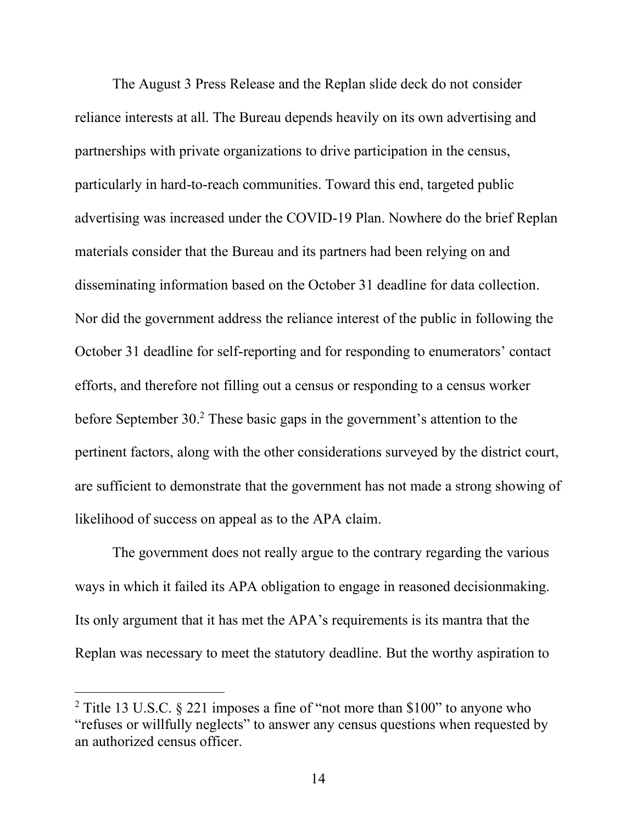The August 3 Press Release and the Replan slide deck do not consider reliance interests at all. The Bureau depends heavily on its own advertising and partnerships with private organizations to drive participation in the census, particularly in hard-to-reach communities. Toward this end, targeted public advertising was increased under the COVID-19 Plan. Nowhere do the brief Replan materials consider that the Bureau and its partners had been relying on and disseminating information based on the October 31 deadline for data collection. Nor did the government address the reliance interest of the public in following the October 31 deadline for self-reporting and for responding to enumerators' contact efforts, and therefore not filling out a census or responding to a census worker before September 30. <sup>2</sup> These basic gaps in the government's attention to the pertinent factors, along with the other considerations surveyed by the district court, are sufficient to demonstrate that the government has not made a strong showing of likelihood of success on appeal as to the APA claim.

The government does not really argue to the contrary regarding the various ways in which it failed its APA obligation to engage in reasoned decisionmaking. Its only argument that it has met the APA's requirements is its mantra that the Replan was necessary to meet the statutory deadline. But the worthy aspiration to

<sup>&</sup>lt;sup>2</sup> Title 13 U.S.C. § 221 imposes a fine of "not more than \$100" to anyone who "refuses or willfully neglects" to answer any census questions when requested by an authorized census officer.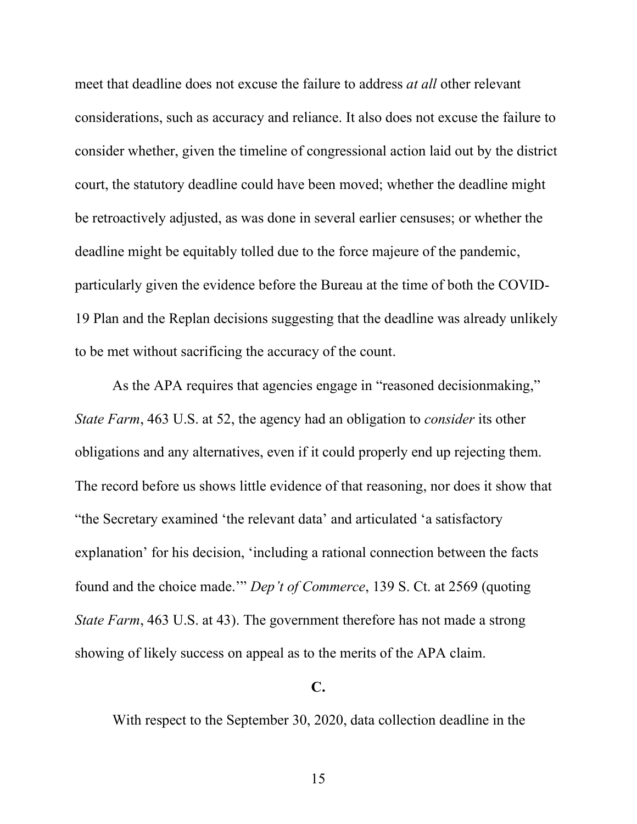meet that deadline does not excuse the failure to address *at all* other relevant considerations, such as accuracy and reliance. It also does not excuse the failure to consider whether, given the timeline of congressional action laid out by the district court, the statutory deadline could have been moved; whether the deadline might be retroactively adjusted, as was done in several earlier censuses; or whether the deadline might be equitably tolled due to the force majeure of the pandemic, particularly given the evidence before the Bureau at the time of both the COVID-19 Plan and the Replan decisions suggesting that the deadline was already unlikely to be met without sacrificing the accuracy of the count.

As the APA requires that agencies engage in "reasoned decisionmaking," *State Farm*, 463 U.S. at 52, the agency had an obligation to *consider* its other obligations and any alternatives, even if it could properly end up rejecting them. The record before us shows little evidence of that reasoning, nor does it show that "the Secretary examined 'the relevant data' and articulated 'a satisfactory explanation' for his decision, 'including a rational connection between the facts found and the choice made.'" *Dep't of Commerce*, 139 S. Ct. at 2569 (quoting *State Farm*, 463 U.S. at 43). The government therefore has not made a strong showing of likely success on appeal as to the merits of the APA claim.

## **C.**

With respect to the September 30, 2020, data collection deadline in the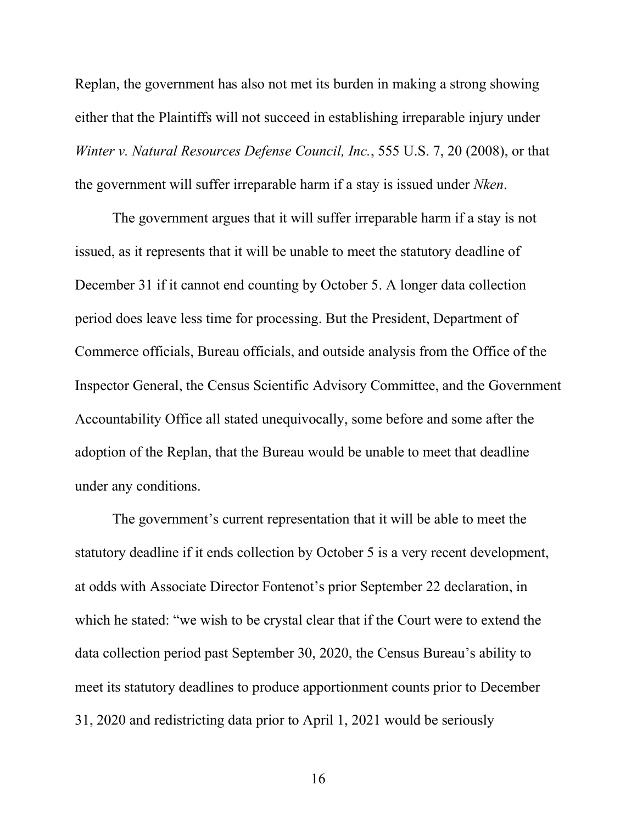Replan, the government has also not met its burden in making a strong showing either that the Plaintiffs will not succeed in establishing irreparable injury under *Winter v. Natural Resources Defense Council, Inc.*, 555 U.S. 7, 20 (2008), or that the government will suffer irreparable harm if a stay is issued under *Nken*.

The government argues that it will suffer irreparable harm if a stay is not issued, as it represents that it will be unable to meet the statutory deadline of December 31 if it cannot end counting by October 5. A longer data collection period does leave less time for processing. But the President, Department of Commerce officials, Bureau officials, and outside analysis from the Office of the Inspector General, the Census Scientific Advisory Committee, and the Government Accountability Office all stated unequivocally, some before and some after the adoption of the Replan, that the Bureau would be unable to meet that deadline under any conditions.

The government's current representation that it will be able to meet the statutory deadline if it ends collection by October 5 is a very recent development, at odds with Associate Director Fontenot's prior September 22 declaration, in which he stated: "we wish to be crystal clear that if the Court were to extend the data collection period past September 30, 2020, the Census Bureau's ability to meet its statutory deadlines to produce apportionment counts prior to December 31, 2020 and redistricting data prior to April 1, 2021 would be seriously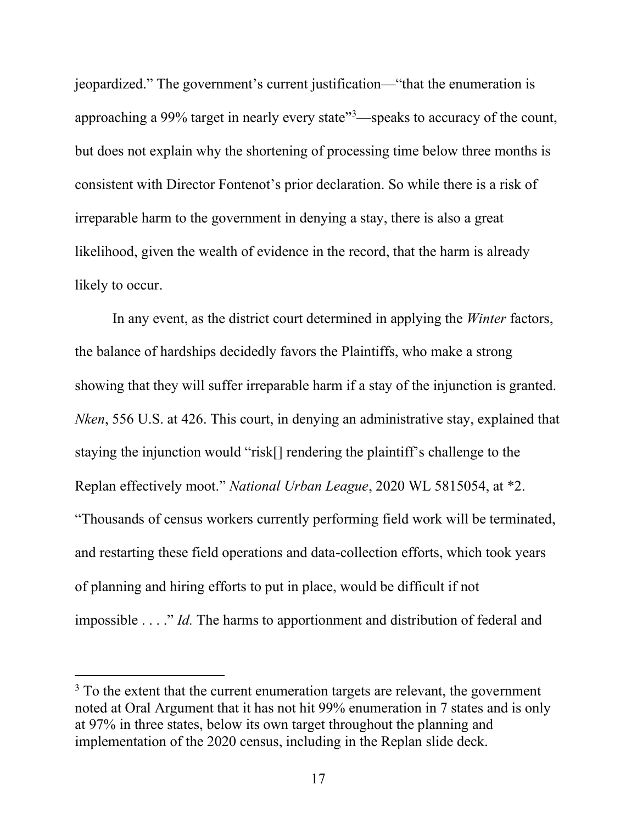jeopardized." The government's current justification—"that the enumeration is approaching a 99% target in nearly every state"<sup>3</sup>—speaks to accuracy of the count, but does not explain why the shortening of processing time below three months is consistent with Director Fontenot's prior declaration. So while there is a risk of irreparable harm to the government in denying a stay, there is also a great likelihood, given the wealth of evidence in the record, that the harm is already likely to occur.

In any event, as the district court determined in applying the *Winter* factors, the balance of hardships decidedly favors the Plaintiffs, who make a strong showing that they will suffer irreparable harm if a stay of the injunction is granted. *Nken*, 556 U.S. at 426. This court, in denying an administrative stay, explained that staying the injunction would "risk[] rendering the plaintiff's challenge to the Replan effectively moot." *National Urban League*, 2020 WL 5815054, at \*2. "Thousands of census workers currently performing field work will be terminated, and restarting these field operations and data-collection efforts, which took years of planning and hiring efforts to put in place, would be difficult if not impossible . . . ." *Id.* The harms to apportionment and distribution of federal and

 $3$  To the extent that the current enumeration targets are relevant, the government noted at Oral Argument that it has not hit 99% enumeration in 7 states and is only at 97% in three states, below its own target throughout the planning and implementation of the 2020 census, including in the Replan slide deck.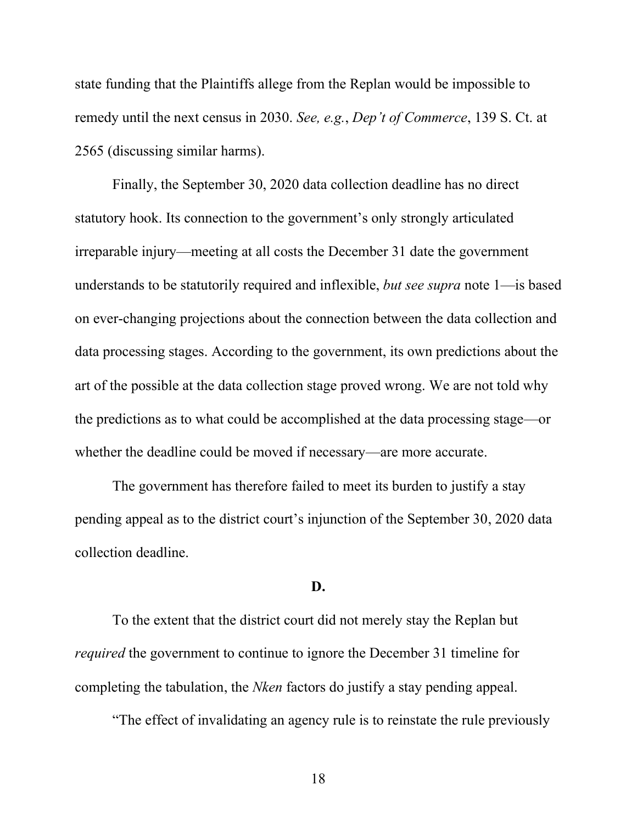state funding that the Plaintiffs allege from the Replan would be impossible to remedy until the next census in 2030. *See, e.g.*, *Dep't of Commerce*, 139 S. Ct. at 2565 (discussing similar harms).

Finally, the September 30, 2020 data collection deadline has no direct statutory hook. Its connection to the government's only strongly articulated irreparable injury—meeting at all costs the December 31 date the government understands to be statutorily required and inflexible, *but see supra* note 1—is based on ever-changing projections about the connection between the data collection and data processing stages. According to the government, its own predictions about the art of the possible at the data collection stage proved wrong. We are not told why the predictions as to what could be accomplished at the data processing stage—or whether the deadline could be moved if necessary—are more accurate.

The government has therefore failed to meet its burden to justify a stay pending appeal as to the district court's injunction of the September 30, 2020 data collection deadline.

### **D.**

To the extent that the district court did not merely stay the Replan but *required* the government to continue to ignore the December 31 timeline for completing the tabulation, the *Nken* factors do justify a stay pending appeal.

"The effect of invalidating an agency rule is to reinstate the rule previously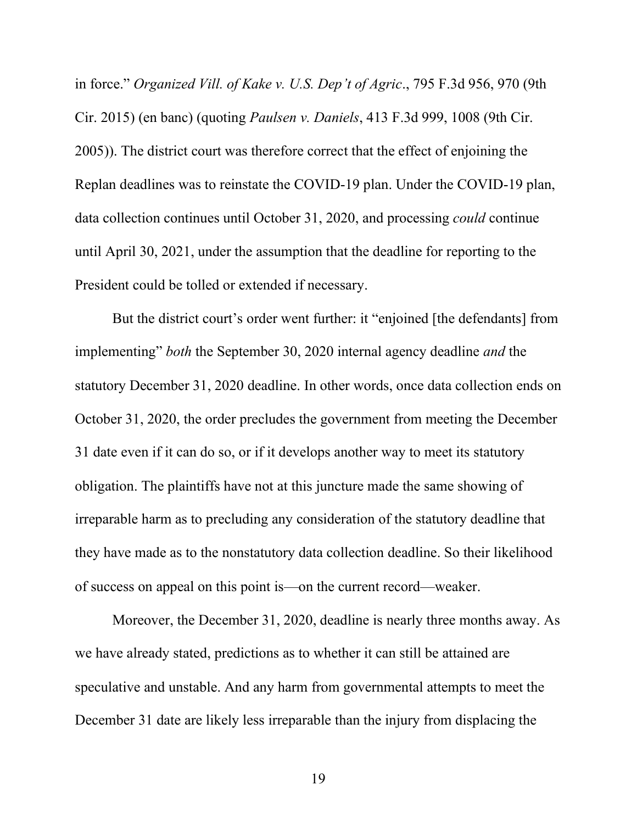in force." *Organized Vill. of Kake v. U.S. Dep't of Agric*., 795 F.3d 956, 970 (9th Cir. 2015) (en banc) (quoting *Paulsen v. Daniels*, 413 F.3d 999, 1008 (9th Cir. 2005)). The district court was therefore correct that the effect of enjoining the Replan deadlines was to reinstate the COVID-19 plan. Under the COVID-19 plan, data collection continues until October 31, 2020, and processing *could* continue until April 30, 2021, under the assumption that the deadline for reporting to the President could be tolled or extended if necessary.

But the district court's order went further: it "enjoined [the defendants] from implementing" *both* the September 30, 2020 internal agency deadline *and* the statutory December 31, 2020 deadline. In other words, once data collection ends on October 31, 2020, the order precludes the government from meeting the December 31 date even if it can do so, or if it develops another way to meet its statutory obligation. The plaintiffs have not at this juncture made the same showing of irreparable harm as to precluding any consideration of the statutory deadline that they have made as to the nonstatutory data collection deadline. So their likelihood of success on appeal on this point is—on the current record—weaker.

Moreover, the December 31, 2020, deadline is nearly three months away. As we have already stated, predictions as to whether it can still be attained are speculative and unstable. And any harm from governmental attempts to meet the December 31 date are likely less irreparable than the injury from displacing the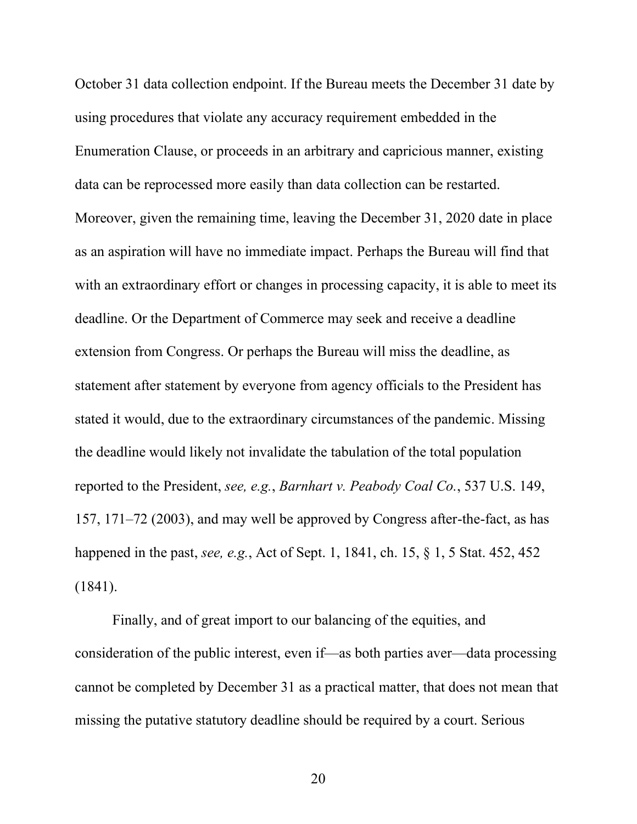October 31 data collection endpoint. If the Bureau meets the December 31 date by using procedures that violate any accuracy requirement embedded in the Enumeration Clause, or proceeds in an arbitrary and capricious manner, existing data can be reprocessed more easily than data collection can be restarted. Moreover, given the remaining time, leaving the December 31, 2020 date in place as an aspiration will have no immediate impact. Perhaps the Bureau will find that with an extraordinary effort or changes in processing capacity, it is able to meet its deadline. Or the Department of Commerce may seek and receive a deadline extension from Congress. Or perhaps the Bureau will miss the deadline, as statement after statement by everyone from agency officials to the President has stated it would, due to the extraordinary circumstances of the pandemic. Missing the deadline would likely not invalidate the tabulation of the total population reported to the President, *see, e.g.*, *Barnhart v. Peabody Coal Co.*, 537 U.S. 149, 157, 171–72 (2003), and may well be approved by Congress after-the-fact, as has happened in the past, *see, e.g.*, Act of Sept. 1, 1841, ch. 15, § 1, 5 Stat. 452, 452 (1841).

Finally, and of great import to our balancing of the equities, and consideration of the public interest, even if—as both parties aver—data processing cannot be completed by December 31 as a practical matter, that does not mean that missing the putative statutory deadline should be required by a court. Serious